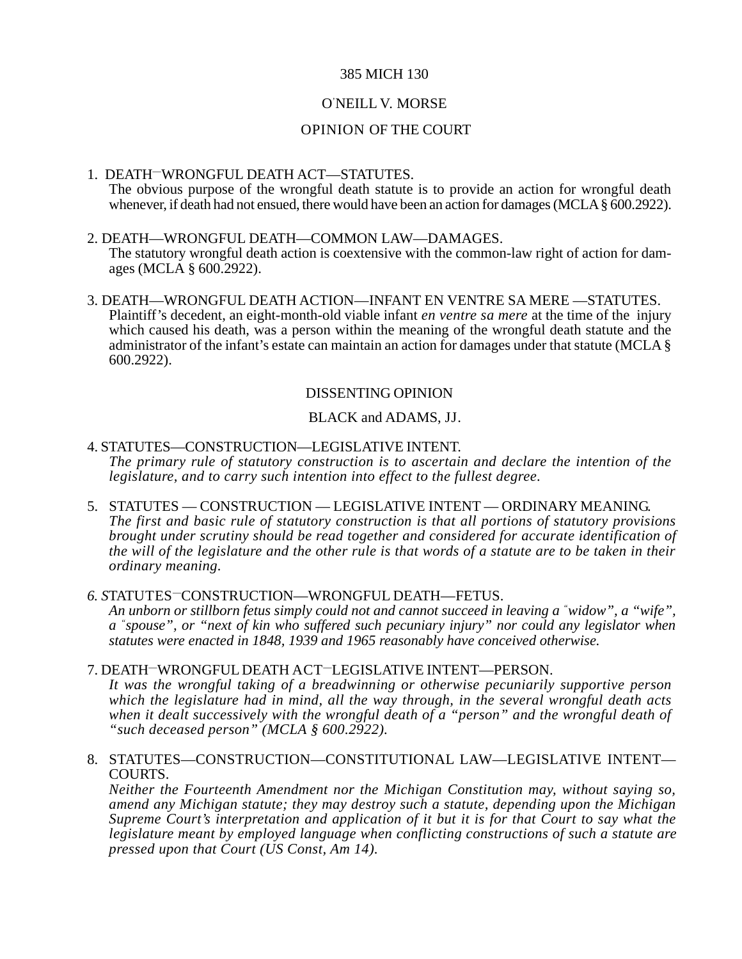## 385 MICH 130

# O' NEILL V. MORSE

## OPINION OF THE COURT

#### 1. DEATH—WRONGFUL DEATH ACT—STATUTES. The obvious purpose of the wrongful death statute is to provide an action for wrongful death whenever, if death had not ensued, there would have been an action for damages (MCLA § 600.2922).

- 2. DEATH—WRONGFUL DEATH—COMMON LAW—DAMAGES. The statutory wrongful death action is coextensive with the common-law right of action for damages (MCLA § 600.2922).
- 3. DEATH—WRONGFUL DEATH ACTION—INFANT EN VENTRE SA MERE —STATUTES. Plaintiff's decedent, an eight-month-old viable infant *en ventre sa mere* at the time of the injury which caused his death, was a person within the meaning of the wrongful death statute and the administrator of the infant's estate can maintain an action for damages under that statute (MCLA § 600.2922).

## DISSENTING OPINION

## BLACK and ADAMS, JJ.

## 4. STATUTES—CONSTRUCTION—LEGISLATIVE INTENT. *The primary rule of statutory construction is to ascertain and declare the intention of the legislature, and to carry such intention into effect to the fullest degree.*

5. STATUTES — CONSTRUCTION — LEGISLATIVE INTENT — ORDINARY MEANING. *The first and basic rule of statutory construction is that all portions of statutory provisions brought under scrutiny should be read together and considered for accurate identification of the will of the legislature and the other rule is that words of a statute are to be taken in their ordinary meaning.*

# *6. S*TATUTES—CONSTRUCTION—WRONGFUL DEATH—FETUS. *An unborn or stillborn fetus simply could not and cannot succeed in leaving a " widow", a "wife",*

*a "spouse", or "next of kin who suffered such pecuniary injury" nor could any legislator when statutes were enacted in 1848, 1939 and 1965 reasonably have conceived otherwise.*

### 7. DEATH—WRONGFUL DEATH ACT—LEGISLATIVE INTENT—PERSON.

*It was the wrongful taking of a breadwinning or otherwise pecuniarily supportive person which the legislature had in mind, all the way through, in the several wrongful death acts when it dealt successively with the wrongful death of a "person" and the wrongful death of "such deceased person" (MCLA § 600.2922).*

### 8. STATUTES—CONSTRUCTION—CONSTITUTIONAL LAW—LEGISLATIVE INTENT— COURTS.

*Neither the Fourteenth Amendment nor the Michigan Constitution may, without saying so, amend any Michigan statute; they may destroy such a statute, depending upon the Michigan Supreme Court's interpretation and application of it but it is for that Court to say what the legislature meant by employed language when conflicting constructions of such a statute are pressed upon that Court (US Const, Am 14).*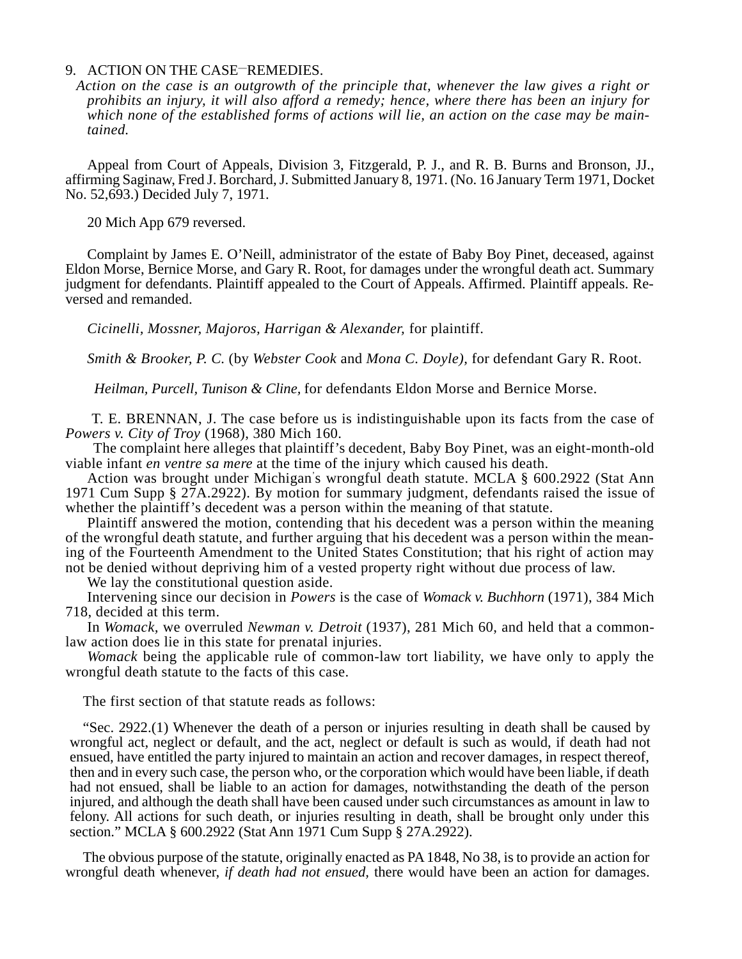#### 9. ACTION ON THE CASE—REMEDIES.

*Action on the case is an outgrowth of the principle that, whenever the law gives a right or prohibits an injury, it will also afford a remedy; hence, where there has been an injury for which none of the established forms of actions will lie, an action on the case may be maintained.*

Appeal from Court of Appeals, Division 3, Fitzgerald, P. J., and R. B. Burns and Bronson, JJ., affirming Saginaw, Fred J. Borchard, J. Submitted January 8, 1971. (No. 16 January Term 1971, Docket No. 52,693.) Decided July 7, 1971.

20 Mich App 679 reversed.

Complaint by James E. O'Neill, administrator of the estate of Baby Boy Pinet, deceased, against Eldon Morse, Bernice Morse, and Gary R. Root, for damages under the wrongful death act. Summary judgment for defendants. Plaintiff appealed to the Court of Appeals. Affirmed. Plaintiff appeals. Reversed and remanded.

*Cicinelli, Mossner, Majoros, Harrigan & Alexander,* for plaintiff.

*Smith & Brooker, P. C.* (by *Webster Cook* and *Mona C. Doyle),* for defendant Gary R. Root.

 *Heilman, Purcell, Tunison & Cline,* for defendants Eldon Morse and Bernice Morse.

 T. E. BRENNAN, J. The case before us is indistinguishable upon its facts from the case of *Powers v. City of Troy* (1968), 380 Mich 160.

 The complaint here alleges that plaintiff's decedent, Baby Boy Pinet, was an eight-month-old viable infant *en ventre sa mere* at the time of the injury which caused his death.

Action was brought under Michigan' s wrongful death statute. MCLA § 600.2922 (Stat Ann 1971 Cum Supp § 27A.2922). By motion for summary judgment, defendants raised the issue of whether the plaintiff's decedent was a person within the meaning of that statute.

Plaintiff answered the motion, contending that his decedent was a person within the meaning of the wrongful death statute, and further arguing that his decedent was a person within the meaning of the Fourteenth Amendment to the United States Constitution; that his right of action may not be denied without depriving him of a vested property right without due process of law.

We lay the constitutional question aside.

Intervening since our decision in *Powers* is the case of *Womack v. Buchhorn* (1971), 384 Mich 718, decided at this term.

In *Womack,* we overruled *Newman v. Detroit* (1937), 281 Mich 60, and held that a commonlaw action does lie in this state for prenatal injuries.

*Womack* being the applicable rule of common-law tort liability, we have only to apply the wrongful death statute to the facts of this case.

The first section of that statute reads as follows:

"Sec. 2922.(1) Whenever the death of a person or injuries resulting in death shall be caused by wrongful act, neglect or default, and the act, neglect or default is such as would, if death had not ensued, have entitled the party injured to maintain an action and recover damages, in respect thereof, then and in every such case, the person who, or the corporation which would have been liable, if death had not ensued, shall be liable to an action for damages, notwithstanding the death of the person injured, and although the death shall have been caused under such circumstances as amount in law to felony. All actions for such death, or injuries resulting in death, shall be brought only under this section." MCLA § 600.2922 (Stat Ann 1971 Cum Supp § 27A.2922).

The obvious purpose of the statute, originally enacted as PA 1848, No 38, is to provide an action for wrongful death whenever, *if death had not ensued,* there would have been an action for damages.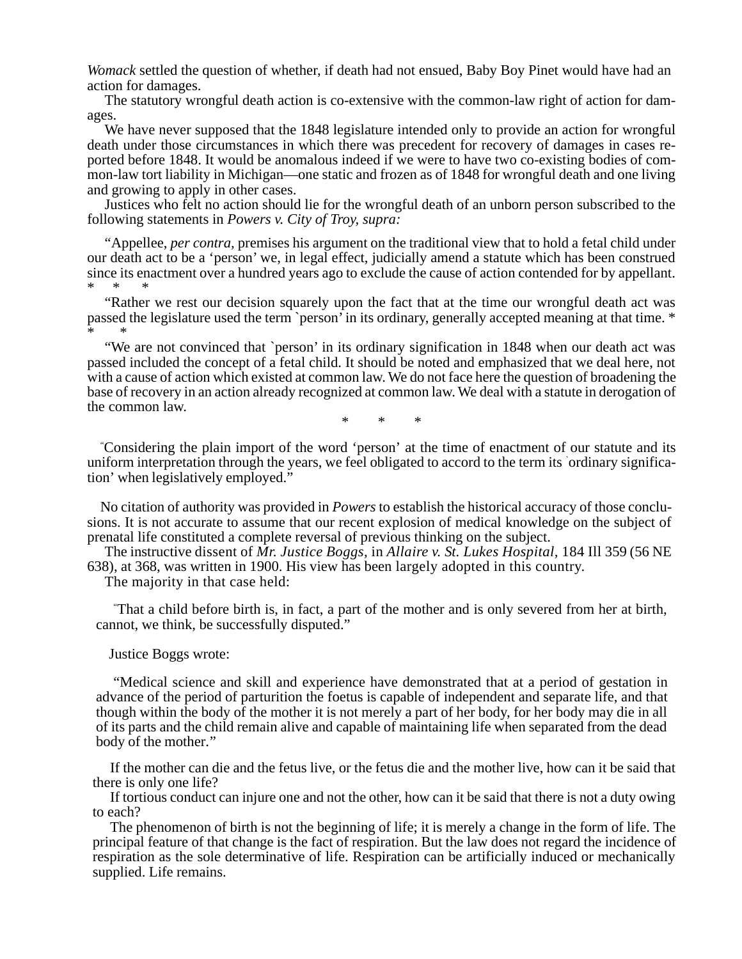*Womack* settled the question of whether, if death had not ensued, Baby Boy Pinet would have had an action for damages.

The statutory wrongful death action is co-extensive with the common-law right of action for damages.

We have never supposed that the 1848 legislature intended only to provide an action for wrongful death under those circumstances in which there was precedent for recovery of damages in cases reported before 1848. It would be anomalous indeed if we were to have two co-existing bodies of common-law tort liability in Michigan—one static and frozen as of 1848 for wrongful death and one living and growing to apply in other cases.

Justices who felt no action should lie for the wrongful death of an unborn person subscribed to the following statements in *Powers v. City of Troy, supra:*

"Appellee, *per contra,* premises his argument on the traditional view that to hold a fetal child under our death act to be a 'person' we, in legal effect, judicially amend a statute which has been construed since its enactment over a hundred years ago to exclude the cause of action contended for by appellant.  $*$ 

"Rather we rest our decision squarely upon the fact that at the time our wrongful death act was passed the legislature used the term `person' in its ordinary, generally accepted meaning at that time. \* \* \*

"We are not convinced that `person' in its ordinary signification in 1848 when our death act was passed included the concept of a fetal child. It should be noted and emphasized that we deal here, not with a cause of action which existed at common law. We do not face here the question of broadening the base of recovery in an action already recognized at common law. We deal with a statute in derogation of the common law.

\* \* \*

" Considering the plain import of the word 'person' at the time of enactment of our statute and its uniform interpretation through the years, we feel obligated to accord to the term its ` ordinary signification' when legislatively employed."

No citation of authority was provided in *Powers* to establish the historical accuracy of those conclusions. It is not accurate to assume that our recent explosion of medical knowledge on the subject of prenatal life constituted a complete reversal of previous thinking on the subject.

The instructive dissent of *Mr. Justice Boggs,* in *Allaire v. St. Lukes Hospital,* 184 Ill 359 (56 NE 638), at 368, was written in 1900. His view has been largely adopted in this country.

The majority in that case held:

" That a child before birth is, in fact, a part of the mother and is only severed from her at birth, cannot, we think, be successfully disputed."

Justice Boggs wrote:

"Medical science and skill and experience have demonstrated that at a period of gestation in advance of the period of parturition the foetus is capable of independent and separate life, and that though within the body of the mother it is not merely a part of her body, for her body may die in all of its parts and the child remain alive and capable of maintaining life when separated from the dead body of the mother."

If the mother can die and the fetus live, or the fetus die and the mother live, how can it be said that there is only one life?

If tortious conduct can injure one and not the other, how can it be said that there is not a duty owing to each?

The phenomenon of birth is not the beginning of life; it is merely a change in the form of life. The principal feature of that change is the fact of respiration. But the law does not regard the incidence of respiration as the sole determinative of life. Respiration can be artificially induced or mechanically supplied. Life remains.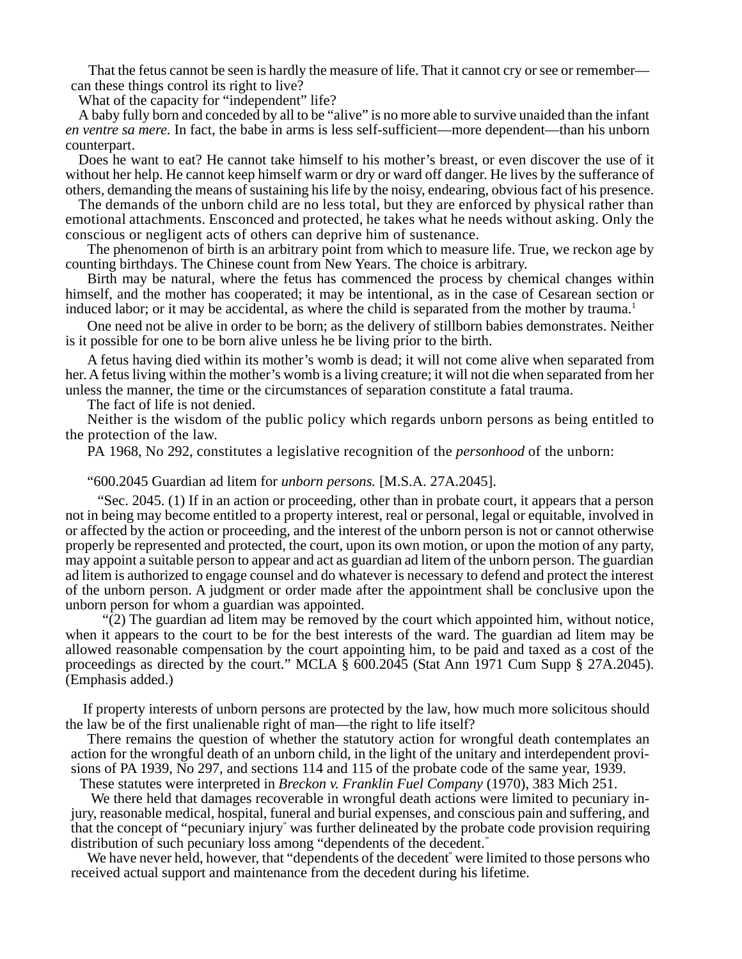That the fetus cannot be seen is hardly the measure of life. That it cannot cry or see or remember can these things control its right to live?

What of the capacity for "independent" life?

A baby fully born and conceded by all to be "alive" is no more able to survive unaided than the infant *en ventre sa mere.* In fact, the babe in arms is less self-sufficient—more dependent—than his unborn counterpart.

Does he want to eat? He cannot take himself to his mother's breast, or even discover the use of it without her help. He cannot keep himself warm or dry or ward off danger. He lives by the sufferance of others, demanding the means of sustaining his life by the noisy, endearing, obvious fact of his presence.

The demands of the unborn child are no less total, but they are enforced by physical rather than emotional attachments. Ensconced and protected, he takes what he needs without asking. Only the conscious or negligent acts of others can deprive him of sustenance.

The phenomenon of birth is an arbitrary point from which to measure life. True, we reckon age by counting birthdays. The Chinese count from New Years. The choice is arbitrary.

Birth may be natural, where the fetus has commenced the process by chemical changes within himself, and the mother has cooperated; it may be intentional, as in the case of Cesarean section or induced labor; or it may be accidental, as where the child is separated from the mother by trauma.<sup>1</sup>

One need not be alive in order to be born; as the delivery of stillborn babies demonstrates. Neither is it possible for one to be born alive unless he be living prior to the birth.

A fetus having died within its mother's womb is dead; it will not come alive when separated from her. A fetus living within the mother's womb is a living creature; it will not die when separated from her unless the manner, the time or the circumstances of separation constitute a fatal trauma.

The fact of life is not denied.

Neither is the wisdom of the public policy which regards unborn persons as being entitled to the protection of the law.

PA 1968, No 292, constitutes a legislative recognition of the *personhood* of the unborn:

#### "600.2045 Guardian ad litem for *unborn persons.* [M.S.A. 27A.2045].

 "Sec. 2045. (1) If in an action or proceeding, other than in probate court, it appears that a person not in being may become entitled to a property interest, real or personal, legal or equitable, involved in or affected by the action or proceeding, and the interest of the unborn person is not or cannot otherwise properly be represented and protected, the court, upon its own motion, or upon the motion of any party, may appoint a suitable person to appear and act as guardian ad litem of the unborn person. The guardian ad litem is authorized to engage counsel and do whatever is necessary to defend and protect the interest of the unborn person. A judgment or order made after the appointment shall be conclusive upon the unborn person for whom a guardian was appointed.

 $\sqrt{2}$ ) The guardian ad litem may be removed by the court which appointed him, without notice, when it appears to the court to be for the best interests of the ward. The guardian ad litem may be allowed reasonable compensation by the court appointing him, to be paid and taxed as a cost of the proceedings as directed by the court." MCLA § 600.2045 (Stat Ann 1971 Cum Supp § 27A.2045). (Emphasis added.)

If property interests of unborn persons are protected by the law, how much more solicitous should the law be of the first unalienable right of man—the right to life itself?

There remains the question of whether the statutory action for wrongful death contemplates an action for the wrongful death of an unborn child, in the light of the unitary and interdependent provisions of PA 1939, No 297, and sections 114 and 115 of the probate code of the same year, 1939.

These statutes were interpreted in *Breckon v. Franklin Fuel Company* (1970), 383 Mich 251.

 We there held that damages recoverable in wrongful death actions were limited to pecuniary injury, reasonable medical, hospital, funeral and burial expenses, and conscious pain and suffering, and that the concept of "pecuniary injury" was further delineated by the probate code provision requiring distribution of such pecuniary loss among "dependents of the decedent."

We have never held, however, that "dependents of the decedent" were limited to those persons who received actual support and maintenance from the decedent during his lifetime.